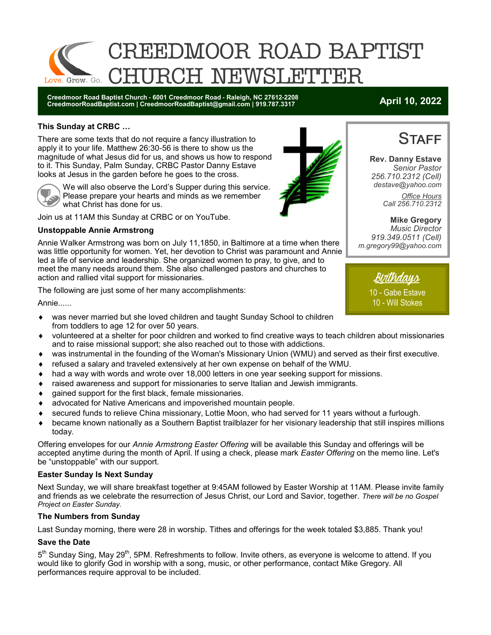

**Creedmoor Road Baptist Church - 6001 Creedmoor Road - Raleigh, NC 27612-2208 CreedmoorRoadBaptist.com | CreedmoorRoadBaptist@gmail.com | 919.787.3317 April 10, 2022**

#### **This Sunday at CRBC …**

There are some texts that do not require a fancy illustration to apply it to your life. Matthew 26:30-56 is there to show us the magnitude of what Jesus did for us, and shows us how to respond to it. This Sunday, Palm Sunday, CRBC Pastor Danny Estave looks at Jesus in the garden before he goes to the cross.



We will also observe the Lord's Supper during this service. Please prepare your hearts and minds as we remember what Christ has done for us.

Join us at 11AM this Sunday at CRBC or on YouTube.

#### **Unstoppable Annie Armstrong**

Annie Walker Armstrong was born on July 11,1850, in Baltimore at a time when there was little opportunity for women. Yet, her devotion to Christ was paramount and Annie led a life of service and leadership. She organized women to pray, to give, and to meet the many needs around them. She also challenged pastors and churches to action and rallied vital support for missionaries.

The following are just some of her many accomplishments:

Annie......



- volunteered at a shelter for poor children and worked to find creative ways to teach children about missionaries and to raise missional support; she also reached out to those with addictions.
- was instrumental in the founding of the Woman's Missionary Union (WMU) and served as their first executive.
- refused a salary and traveled extensively at her own expense on behalf of the WMU.
- had a way with words and wrote over 18,000 letters in one year seeking support for missions.
- $\bullet$  raised awareness and support for missionaries to serve Italian and Jewish immigrants.
- $\bullet$  cained support for the first black, female missionaries.
- advocated for Native Americans and impoverished mountain people.
- secured funds to relieve China missionary, Lottie Moon, who had served for 11 years without a furlough.
- became known nationally as a Southern Baptist trailblazer for her visionary leadership that still inspires millions today.

Offering envelopes for our *Annie Armstrong Easter Offering* will be available this Sunday and offerings will be accepted anytime during the month of April. If using a check, please mark *Easter Offering* on the memo line. Let's be "unstoppable" with our support.

#### **Easter Sunday Is Next Sunday**

Next Sunday, we will share breakfast together at 9:45AM followed by Easter Worship at 11AM. Please invite family and friends as we celebrate the resurrection of Jesus Christ, our Lord and Savior, together. *There will be no Gospel Project on Easter Sunday.*

#### **The Numbers from Sunday**

Last Sunday morning, there were 28 in worship. Tithes and offerings for the week totaled \$3,885. Thank you!

#### **Save the Date**

5<sup>th</sup> Sunday Sing, May 29<sup>th</sup>, 5PM. Refreshments to follow. Invite others, as everyone is welcome to attend. If you would like to glorify God in worship with a song, music, or other performance, contact Mike Gregory. All performances require approval to be included.





**Rev. Danny Estave** *Senior Pastor 256.710.2312 (Cell) destave@yahoo.com Office Hours Call 256.710.2312* 

**Mike Gregory** *Music Director 919.349.0511 (Cell) m.gregory99@yahoo.com* 

Birthdays

10 - Gabe Estave 10 - Will Stokes